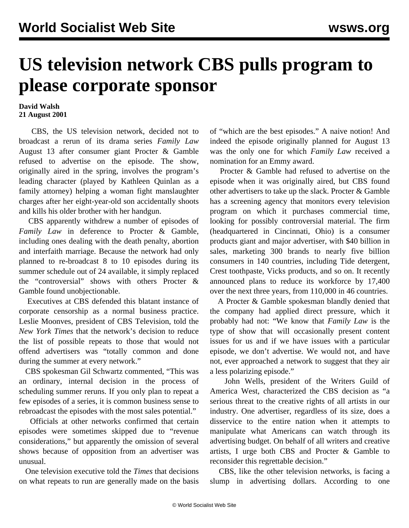## **US television network CBS pulls program to please corporate sponsor**

## **David Walsh 21 August 2001**

 CBS, the US television network, decided not to broadcast a rerun of its drama series *Family Law* August 13 after consumer giant Procter & Gamble refused to advertise on the episode. The show, originally aired in the spring, involves the program's leading character (played by Kathleen Quinlan as a family attorney) helping a woman fight manslaughter charges after her eight-year-old son accidentally shoots and kills his older brother with her handgun.

 CBS apparently withdrew a number of episodes of *Family Law* in deference to Procter & Gamble, including ones dealing with the death penalty, abortion and interfaith marriage. Because the network had only planned to re-broadcast 8 to 10 episodes during its summer schedule out of 24 available, it simply replaced the "controversial" shows with others Procter & Gamble found unobjectionable.

 Executives at CBS defended this blatant instance of corporate censorship as a normal business practice. Leslie Moonves, president of CBS Television, told the *New York Times* that the network's decision to reduce the list of possible repeats to those that would not offend advertisers was "totally common and done during the summer at every network."

 CBS spokesman Gil Schwartz commented, "This was an ordinary, internal decision in the process of scheduling summer reruns. If you only plan to repeat a few episodes of a series, it is common business sense to rebroadcast the episodes with the most sales potential."

 Officials at other networks confirmed that certain episodes were sometimes skipped due to "revenue considerations," but apparently the omission of several shows because of opposition from an advertiser was unusual.

 One television executive told the *Times* that decisions on what repeats to run are generally made on the basis of "which are the best episodes." A naive notion! And indeed the episode originally planned for August 13 was the only one for which *Family Law* received a nomination for an Emmy award.

 Procter & Gamble had refused to advertise on the episode when it was originally aired, but CBS found other advertisers to take up the slack. Procter & Gamble has a screening agency that monitors every television program on which it purchases commercial time, looking for possibly controversial material. The firm (headquartered in Cincinnati, Ohio) is a consumer products giant and major advertiser, with \$40 billion in sales, marketing 300 brands to nearly five billion consumers in 140 countries, including Tide detergent, Crest toothpaste, Vicks products, and so on. It recently announced plans to reduce its workforce by 17,400 over the next three years, from 110,000 in 46 countries.

 A Procter & Gamble spokesman blandly denied that the company had applied direct pressure, which it probably had not: "We know that *Family Law* is the type of show that will occasionally present content issues for us and if we have issues with a particular episode, we don't advertise. We would not, and have not, ever approached a network to suggest that they air a less polarizing episode."

 John Wells, president of the Writers Guild of America West, characterized the CBS decision as "a serious threat to the creative rights of all artists in our industry. One advertiser, regardless of its size, does a disservice to the entire nation when it attempts to manipulate what Americans can watch through its advertising budget. On behalf of all writers and creative artists, I urge both CBS and Procter & Gamble to reconsider this regrettable decision."

 CBS, like the other television networks, is facing a slump in advertising dollars. According to one